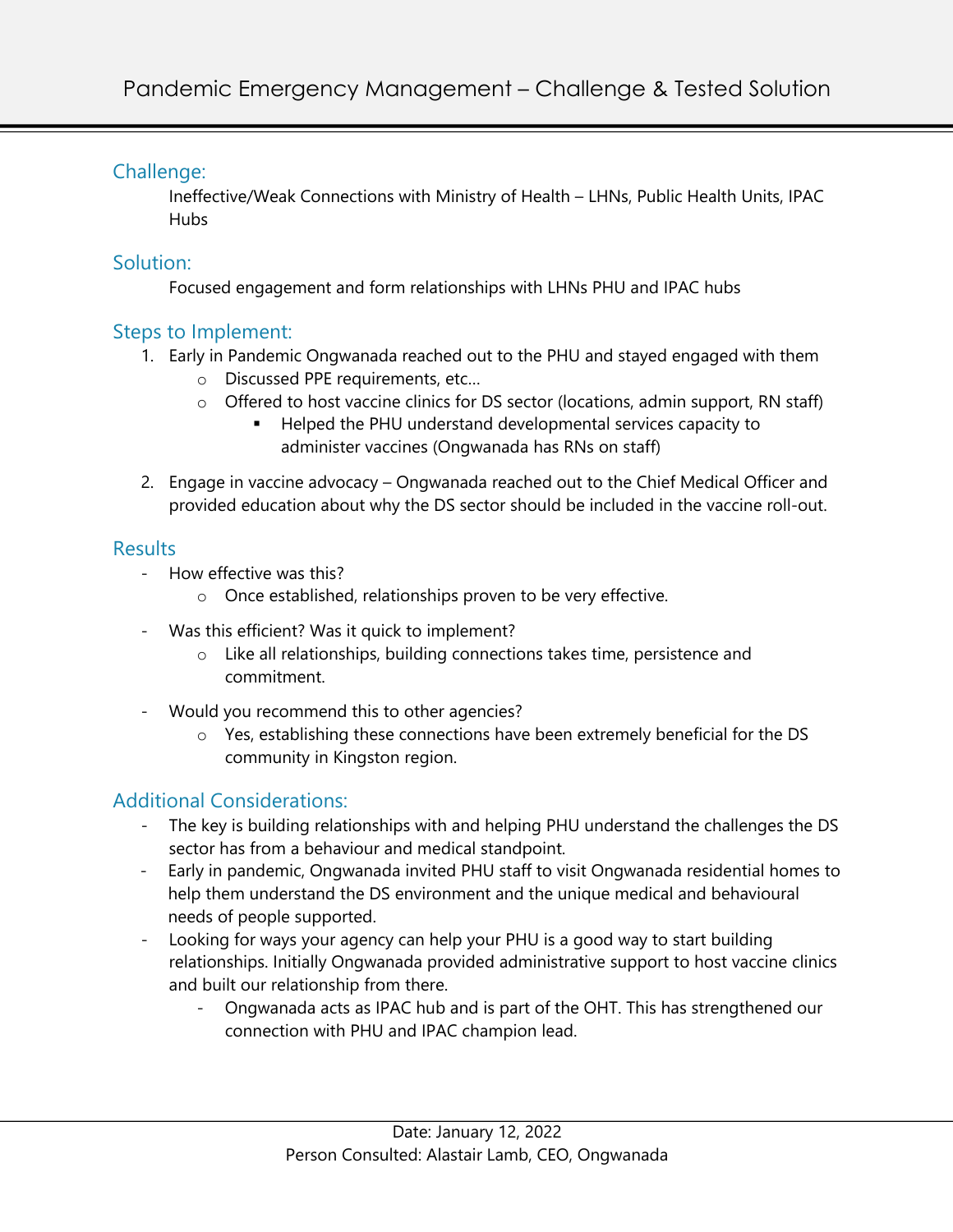## Challenge:

Ineffective/Weak Connections with Ministry of Health – LHNs, Public Health Units, IPAC Hubs

#### Solution:

Focused engagement and form relationships with LHNs PHU and IPAC hubs

### Steps to Implement:

- 1. Early in Pandemic Ongwanada reached out to the PHU and stayed engaged with them
	- o Discussed PPE requirements, etc…
	- o Offered to host vaccine clinics for DS sector (locations, admin support, RN staff)
		- Helped the PHU understand developmental services capacity to administer vaccines (Ongwanada has RNs on staff)
- 2. Engage in vaccine advocacy Ongwanada reached out to the Chief Medical Officer and provided education about why the DS sector should be included in the vaccine roll-out.

#### Results

- How effective was this?
	- o Once established, relationships proven to be very effective.
- Was this efficient? Was it quick to implement?
	- o Like all relationships, building connections takes time, persistence and commitment.
- Would you recommend this to other agencies?
	- o Yes, establishing these connections have been extremely beneficial for the DS community in Kingston region.

# Additional Considerations:

- The key is building relationships with and helping PHU understand the challenges the DS sector has from a behaviour and medical standpoint.
- Early in pandemic, Ongwanada invited PHU staff to visit Ongwanada residential homes to help them understand the DS environment and the unique medical and behavioural needs of people supported.
- Looking for ways your agency can help your PHU is a good way to start building relationships. Initially Ongwanada provided administrative support to host vaccine clinics and built our relationship from there.
	- Ongwanada acts as IPAC hub and is part of the OHT. This has strengthened our connection with PHU and IPAC champion lead.